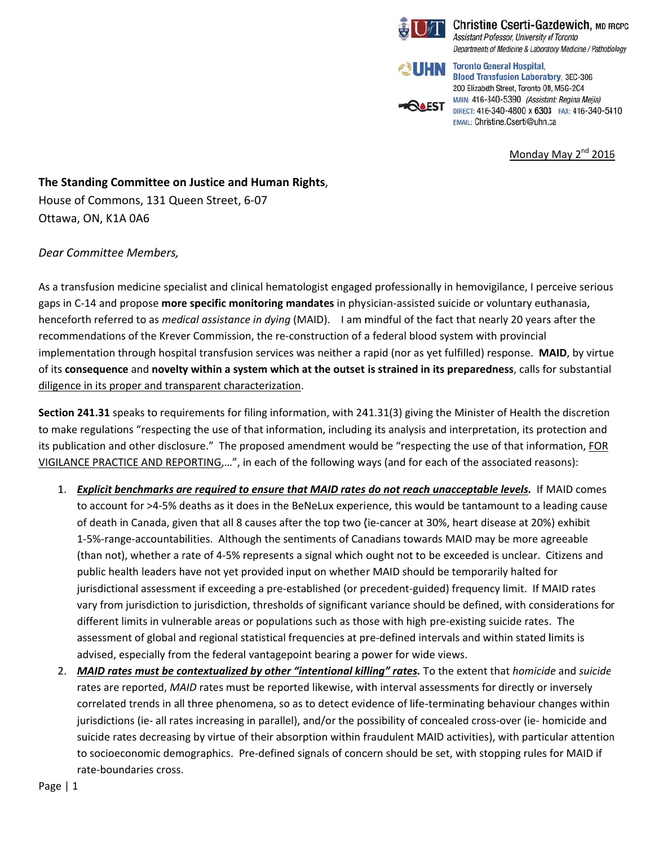

**Christine Cserti-Gazdewich, MD FRCPC** Assistant Professor, University of Toronto Departments of Medicine & Laboratory Medicine / Pathobiology



**Toronto General Hospital, Blood Transfusion Laboratory, 3EC-306** 200 Elizabeth Street, Toronto ON, M5G-2C4 MAIN: 416-340-5390 (Assistant: Regina Mejia) DIRECT: 416-340-4800 x 6303 FAX: 416-340-5410 EMAIL: Christine.Cserti@uhn.ca

Monday May 2<sup>nd</sup> 2016

The Standing Committee on Justice and Human Rights, House of Commons, 131 Queen Street, 6-07 Ottawa, ON, K1A 0A6

## Dear Committee Members,

As a transfusion medicine specialist and clinical hematologist engaged professionally in hemovigilance, I perceive serious gaps in C-14 and propose more specific monitoring mandates in physician-assisted suicide or voluntary euthanasia, henceforth referred to as *medical assistance in dying* (MAID). I am mindful of the fact that nearly 20 years after the recommendations of the Krever Commission, the re-construction of a federal blood system with provincial implementation through hospital transfusion services was neither a rapid (nor as yet fulfilled) response. MAID, by virtue of its consequence and novelty within a system which at the outset is strained in its preparedness, calls for substantial diligence in its proper and transparent characterization.

Section 241.31 speaks to requirements for filing information, with 241.31(3) giving the Minister of Health the discretion to make regulations "respecting the use of that information, including its analysis and interpretation, its protection and its publication and other disclosure." The proposed amendment would be "respecting the use of that information, FOR VIGILANCE PRACTICE AND REPORTING,...", in each of the following ways (and for each of the associated reasons):

- 1. Explicit benchmarks are required to ensure that MAID rates do not reach unacceptable levels. If MAID comes to account for >4-5% deaths as it does in the BeNeLux experience, this would be tantamount to a leading cause of death in Canada, given that all 8 causes after the top two (ie-cancer at 30%, heart disease at 20%) exhibit 1-5%-range-accountabilities. Although the sentiments of Canadians towards MAID may be more agreeable (than not), whether a rate of 4-5% represents a signal which ought not to be exceeded is unclear. Citizens and public health leaders have not yet provided input on whether MAID should be temporarily halted for jurisdictional assessment if exceeding a pre-established (or precedent-guided) frequency limit. If MAID rates vary from jurisdiction to jurisdiction, thresholds of significant variance should be defined, with considerations for different limits in vulnerable areas or populations such as those with high pre-existing suicide rates. The assessment of global and regional statistical frequencies at pre-defined intervals and within stated limits is advised, especially from the federal vantagepoint bearing a power for wide views.
- 2. MAID rates must be contextualized by other "intentional killing" rates. To the extent that homicide and suicide rates are reported, MAID rates must be reported likewise, with interval assessments for directly or inversely correlated trends in all three phenomena, so as to detect evidence of life-terminating behaviour changes within jurisdictions (ie- all rates increasing in parallel), and/or the possibility of concealed cross-over (ie- homicide and suicide rates decreasing by virtue of their absorption within fraudulent MAID activities), with particular attention to socioeconomic demographics. Pre-defined signals of concern should be set, with stopping rules for MAID if rate-boundaries cross.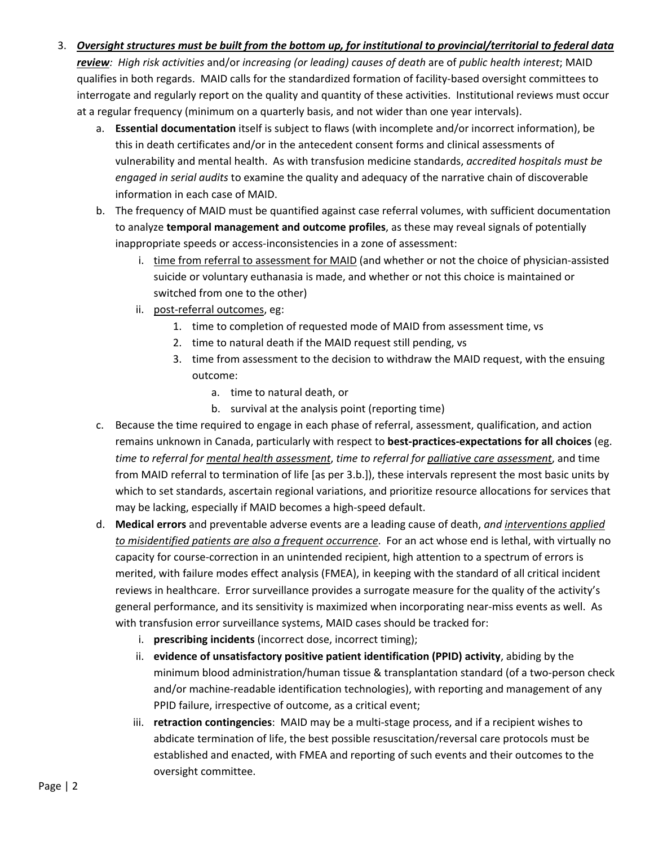- 3. Oversight structures must be built from the bottom up, for institutional to provincial/territorial to federal data *review: High risk activities* and/or *increasing (or leading) causes of death* are of *public health interest*; MAID qualifies in both regards. MAID calls for the standardized formation of facility‐based oversight committees to interrogate and regularly report on the quality and quantity of these activities. Institutional reviews must occur at a regular frequency (minimum on a quarterly basis, and not wider than one year intervals).
	- a. **Essential documentation** itself is subject to flaws (with incomplete and/or incorrect information), be this in death certificates and/or in the antecedent consent forms and clinical assessments of vulnerability and mental health. As with transfusion medicine standards, *accredited hospitals must be engaged in serial audits* to examine the quality and adequacy of the narrative chain of discoverable information in each case of MAID.
	- b. The frequency of MAID must be quantified against case referral volumes, with sufficient documentation to analyze **temporal management and outcome profiles**, as these may reveal signals of potentially inappropriate speeds or access-inconsistencies in a zone of assessment:
		- i. time from referral to assessment for MAID (and whether or not the choice of physician-assisted suicide or voluntary euthanasia is made, and whether or not this choice is maintained or switched from one to the other)
		- ii. post‐referral outcomes, eg:
			- 1. time to completion of requested mode of MAID from assessment time, vs
			- 2. time to natural death if the MAID request still pending, vs
			- 3. time from assessment to the decision to withdraw the MAID request, with the ensuing outcome:
				- a. time to natural death, or
				- b. survival at the analysis point (reporting time)
	- c. Because the time required to engage in each phase of referral, assessment, qualification, and action remains unknown in Canada, particularly with respect to **best‐practices‐expectations for all choices** (eg. *time to referral for mental health assessment*, *time to referral for palliative care assessment*, and time from MAID referral to termination of life [as per 3.b.]), these intervals represent the most basic units by which to set standards, ascertain regional variations, and prioritize resource allocations for services that may be lacking, especially if MAID becomes a high‐speed default.
	- d. **Medical errors** and preventable adverse events are a leading cause of death, *and interventions applied to misidentified patients are also a frequent occurrence*. For an act whose end is lethal, with virtually no capacity for course‐correction in an unintended recipient, high attention to a spectrum of errors is merited, with failure modes effect analysis (FMEA), in keeping with the standard of all critical incident reviews in healthcare. Error surveillance provides a surrogate measure for the quality of the activity's general performance, and its sensitivity is maximized when incorporating near‐miss events as well. As with transfusion error surveillance systems, MAID cases should be tracked for:
		- i. **prescribing incidents** (incorrect dose, incorrect timing);
		- ii. **evidence of unsatisfactory positive patient identification (PPID) activity**, abiding by the minimum blood administration/human tissue & transplantation standard (of a two‐person check and/or machine-readable identification technologies), with reporting and management of any PPID failure, irrespective of outcome, as a critical event;
		- iii. **retraction contingencies**: MAID may be a multi‐stage process, and if a recipient wishes to abdicate termination of life, the best possible resuscitation/reversal care protocols must be established and enacted, with FMEA and reporting of such events and their outcomes to the oversight committee.